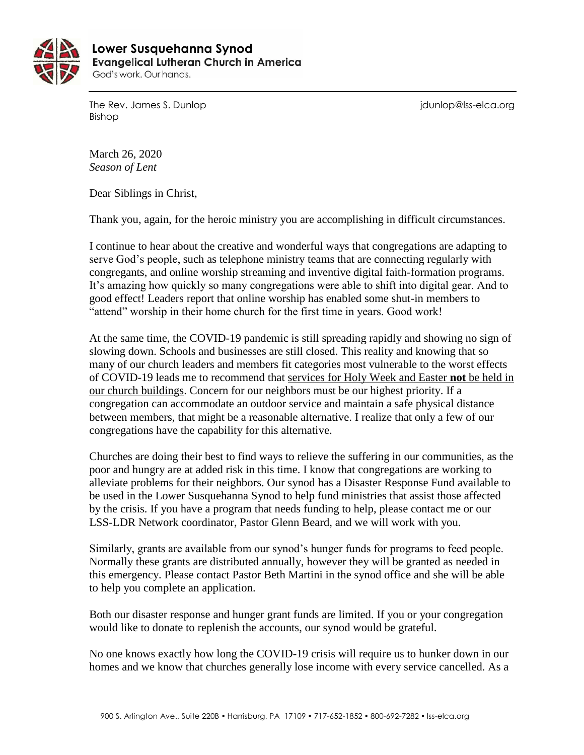

 **Lower Susquehanna SynodEvangelical Lutheran Church in America** God's work. Our hands.

The Rev. James S. Dunlop journalism is a state of the Rev. James S. Dunlop is a state of the Rev. James S. Dunlop Bishop

March 26, 2020 *Season of Lent*

Dear Siblings in Christ,

Thank you, again, for the heroic ministry you are accomplishing in difficult circumstances.

I continue to hear about the creative and wonderful ways that congregations are adapting to serve God's people, such as telephone ministry teams that are connecting regularly with congregants, and online worship streaming and inventive digital faith-formation programs. It's amazing how quickly so many congregations were able to shift into digital gear. And to good effect! Leaders report that online worship has enabled some shut-in members to "attend" worship in their home church for the first time in years. Good work!

At the same time, the COVID-19 pandemic is still spreading rapidly and showing no sign of slowing down. Schools and businesses are still closed. This reality and knowing that so many of our church leaders and members fit categories most vulnerable to the worst effects of COVID-19 leads me to recommend that services for Holy Week and Easter **not** be held in our church buildings. Concern for our neighbors must be our highest priority. If a congregation can accommodate an outdoor service and maintain a safe physical distance between members, that might be a reasonable alternative. I realize that only a few of our congregations have the capability for this alternative.

Churches are doing their best to find ways to relieve the suffering in our communities, as the poor and hungry are at added risk in this time. I know that congregations are working to alleviate problems for their neighbors. Our synod has a Disaster Response Fund available to be used in the Lower Susquehanna Synod to help fund ministries that assist those affected by the crisis. If you have a program that needs funding to help, please contact me or our LSS-LDR Network coordinator, Pastor Glenn Beard, and we will work with you.

Similarly, grants are available from our synod's hunger funds for programs to feed people. Normally these grants are distributed annually, however they will be granted as needed in this emergency. Please contact Pastor Beth Martini in the synod office and she will be able to help you complete an application.

Both our disaster response and hunger grant funds are limited. If you or your congregation would like to donate to replenish the accounts, our synod would be grateful.

No one knows exactly how long the COVID-19 crisis will require us to hunker down in our homes and we know that churches generally lose income with every service cancelled. As a